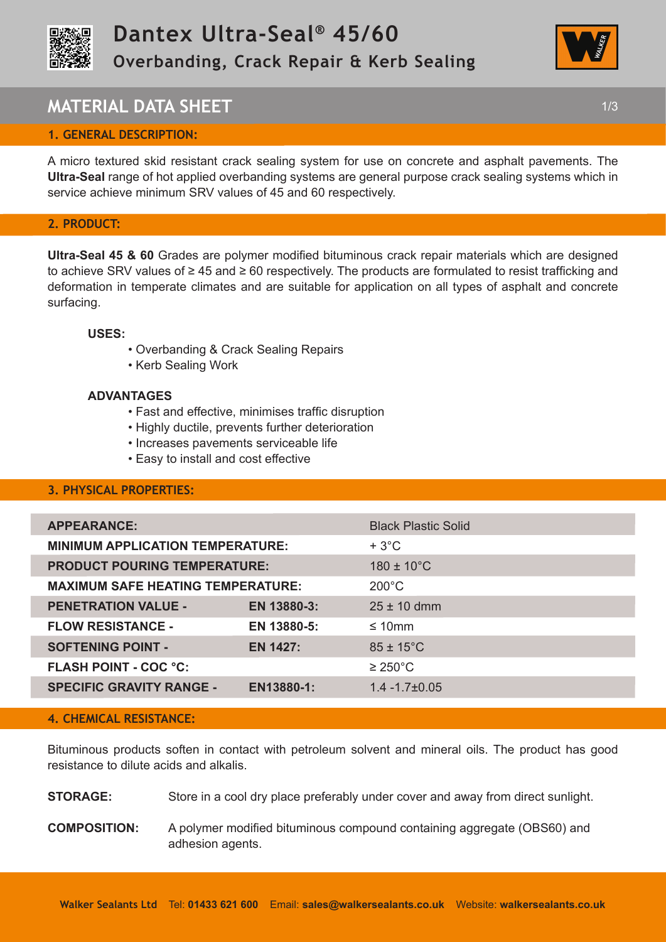



## **MATERIAL DATA SHEET** 1/3

## **1. GENERAL DESCRIPTION:**

A micro textured skid resistant crack sealing system for use on concrete and asphalt pavements. The **Ultra-Seal** range of hot applied overbanding systems are general purpose crack sealing systems which in service achieve minimum SRV values of 45 and 60 respectively.

#### **2. PRODUCT:**

**Ultra-Seal 45 & 60** Grades are polymer modified bituminous crack repair materials which are designed to achieve SRV values of ≥ 45 and ≥ 60 respectively. The products are formulated to resist trafficking and deformation in temperate climates and are suitable for application on all types of asphalt and concrete surfacing.

#### **USES:**

- Overbanding & Crack Sealing Repairs
- Kerb Sealing Work

#### **ADVANTAGES**

- Fast and effective, minimises traffic disruption
- Highly ductile, prevents further deterioration
- Increases pavements serviceable life
- Easy to install and cost effective

## **3. PHYSICAL PROPERTIES:**

| <b>APPEARANCE:</b>                       |                 | <b>Black Plastic Solid</b> |
|------------------------------------------|-----------------|----------------------------|
| <b>MINIMUM APPLICATION TEMPERATURE:</b>  |                 | $+3^{\circ}$ C             |
| <b>PRODUCT POURING TEMPERATURE:</b>      |                 | $180 \pm 10^{\circ}$ C     |
| <b>MAXIMUM SAFE HEATING TEMPERATURE:</b> |                 | $200^{\circ}$ C            |
| <b>PENETRATION VALUE -</b>               | EN 13880-3:     | $25 \pm 10$ dmm            |
| <b>FLOW RESISTANCE -</b>                 | EN 13880-5:     | $\leq 10$ mm               |
| <b>SOFTENING POINT -</b>                 | <b>EN 1427:</b> | $85 \pm 15^{\circ}$ C      |
| <b>FLASH POINT - COC °C:</b>             |                 | $\geq$ 250°C               |
| <b>SPECIFIC GRAVITY RANGE -</b>          | EN13880-1:      | $1.4 - 1.7 \pm 0.05$       |
|                                          |                 |                            |

#### **4. CHEMICAL RESISTANCE:**

Bituminous products soften in contact with petroleum solvent and mineral oils. The product has good resistance to dilute acids and alkalis.

**STORAGE:** Store in a cool dry place preferably under cover and away from direct sunlight.

**COMPOSITION:** A polymer modified bituminous compound containing aggregate (OBS60) and adhesion agents.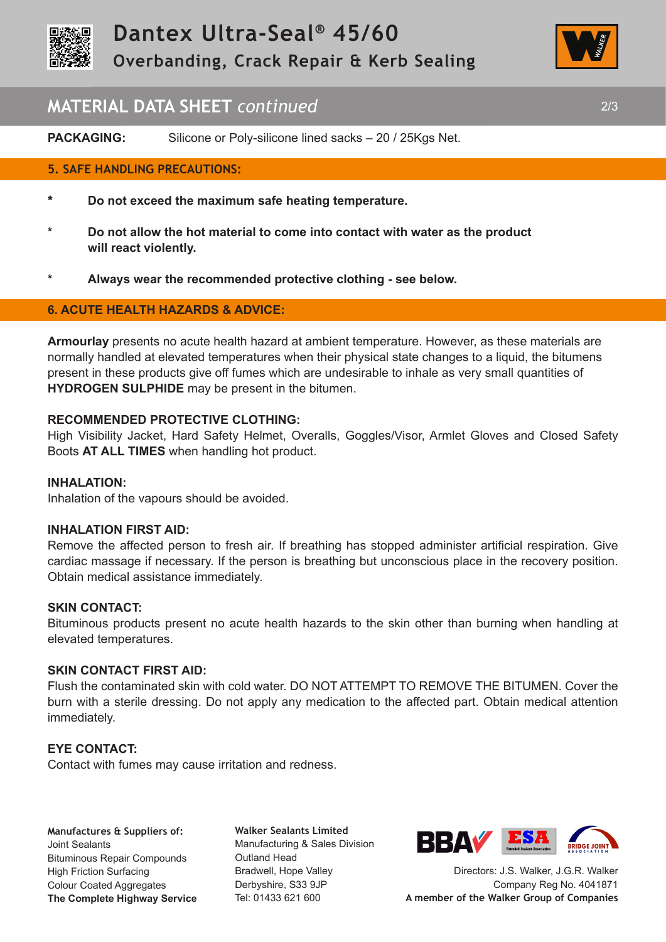



## **MATERIAL DATA SHEET** *continued* 2/3

**PACKAGING:** Silicone or Poly-silicone lined sacks – 20 / 25Kgs Net.

#### **5. SAFE HANDLING PRECAUTIONS:**

- **\* Do not exceed the maximum safe heating temperature.**
- **\* Do not allow the hot material to come into contact with water as the product will react violently.**
- **\* Always wear the recommended protective clothing see below.**

#### **6. ACUTE HEALTH HAZARDS & ADVICE:**

**Armourlay** presents no acute health hazard at ambient temperature. However, as these materials are normally handled at elevated temperatures when their physical state changes to a liquid, the bitumens present in these products give off fumes which are undesirable to inhale as very small quantities of **HYDROGEN SULPHIDE** may be present in the bitumen.

#### **RECOMMENDED PROTECTIVE CLOTHING:**

High Visibility Jacket, Hard Safety Helmet, Overalls, Goggles/Visor, Armlet Gloves and Closed Safety Boots **AT ALL TIMES** when handling hot product.

#### **INHALATION:**

Inhalation of the vapours should be avoided.

#### **INHALATION FIRST AID:**

Remove the affected person to fresh air. If breathing has stopped administer artificial respiration. Give cardiac massage if necessary. If the person is breathing but unconscious place in the recovery position. Obtain medical assistance immediately.

#### **SKIN CONTACT:**

Bituminous products present no acute health hazards to the skin other than burning when handling at elevated temperatures.

### **SKIN CONTACT FIRST AID:**

Flush the contaminated skin with cold water. DO NOT ATTEMPT TO REMOVE THE BITUMEN. Cover the burn with a sterile dressing. Do not apply any medication to the affected part. Obtain medical attention immediately.

#### **EYE CONTACT:**

Contact with fumes may cause irritation and redness.

**Manufactures & Suppliers of:**  Joint Sealants Bituminous Repair Compounds High Friction Surfacing Colour Coated Aggregates **The Complete Highway Service**

**Walker Sealants Limited**  Manufacturing & Sales Division Outland Head Bradwell, Hope Valley Derbyshire, S33 9JP Tel: 01433 621 600



Directors: J.S. Walker, J.G.R. Walker Company Reg No. 4041871 **A member of the Walker Group of Companies**